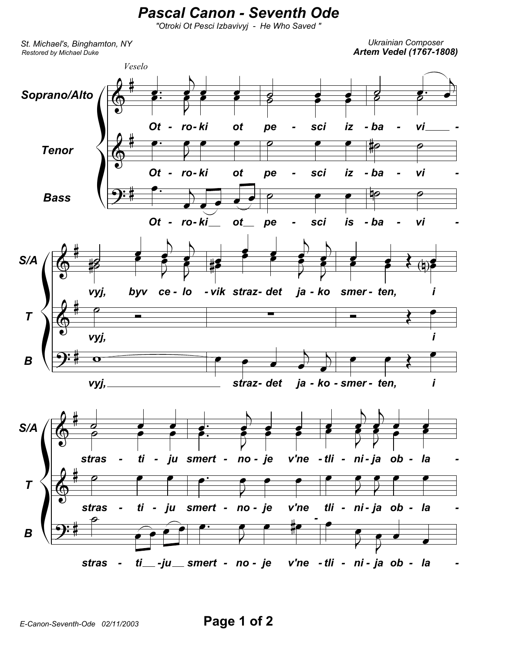## **Pascal Canon - Seventh Ode**

"Otroki Ot Pesci Izbavivyj - He Who Saved"

St. Michael's, Binghamton, NY Restored by Michael Duke

**Ukrainian Composer Artem Vedel (1767-1808)**